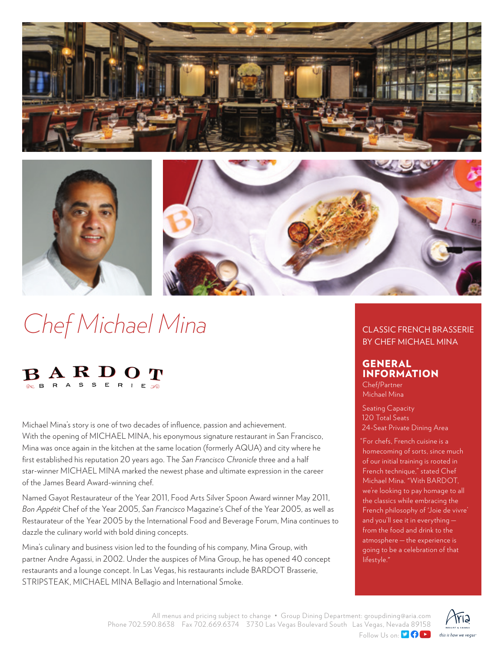



# *Chef Michael Mina*



Michael Mina's story is one of two decades of influence, passion and achievement. With the opening of MICHAEL MINA, his eponymous signature restaurant in San Francisco, Mina was once again in the kitchen at the same location (formerly AQUA) and city where he first established his reputation 20 years ago. The *San Francisco Chronicle* three and a half star-winner MICHAEL MINA marked the newest phase and ultimate expression in the career of the James Beard Award-winning chef.

Named Gayot Restaurateur of the Year 2011, Food Arts Silver Spoon Award winner May 2011, *Bon Appétit* Chef of the Year 2005, *San Francisco* Magazine's Chef of the Year 2005, as well as Restaurateur of the Year 2005 by the International Food and Beverage Forum, Mina continues to dazzle the culinary world with bold dining concepts.

Mina's culinary and business vision led to the founding of his company, Mina Group, with partner Andre Agassi, in 2002. Under the auspices of Mina Group, he has opened 40 concept restaurants and a lounge concept. In Las Vegas, his restaurants include BARDOT Brasserie, STRIPSTEAK, MICHAEL MINA Bellagio and International Smoke.

## CLASSIC FRENCH BRASSERIE BY CHEF MICHAEL MINA

# GENERAL INFORMATION

Chef/Partner Michael Mina

Seating Capacity 120 Total Seats 24-Seat Private Dining Area

"For chefs, French cuisine is a homecoming of sorts, since much of our initial training is rooted in French technique," stated Chef Michael Mina. "With BARDOT, we're looking to pay homage to all the classics while embracing the French philosophy of 'Joie de vivre' and you'll see it in everything   from the food and drink to the atmosphere — the experience is going to be a celebration of that lifestyle."

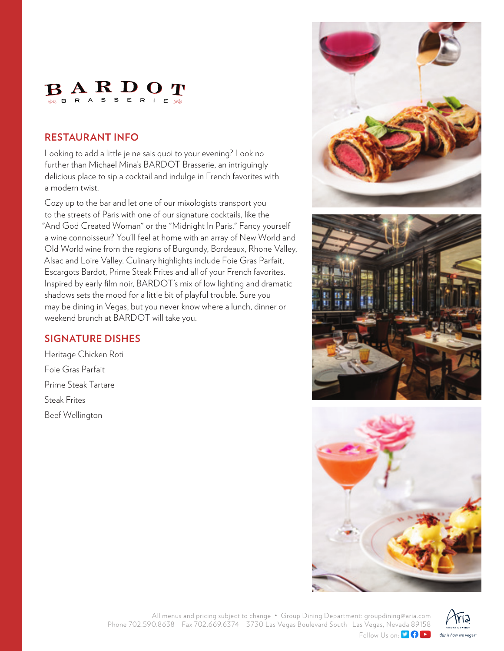

# **RESTAURANT INFO**

Looking to add a little je ne sais quoi to your evening? Look no further than Michael Mina's BARDOT Brasserie, an intriguingly delicious place to sip a cocktail and indulge in French favorites with a modern twist.

Cozy up to the bar and let one of our mixologists transport you to the streets of Paris with one of our signature cocktails, like the "And God Created Woman" or the "Midnight In Paris." Fancy yourself a wine connoisseur? You'll feel at home with an array of New World and Old World wine from the regions of Burgundy, Bordeaux, Rhone Valley, Alsac and Loire Valley. Culinary highlights include Foie Gras Parfait, Escargots Bardot, Prime Steak Frites and all of your French favorites. Inspired by early film noir, BARDOT's mix of low lighting and dramatic shadows sets the mood for a little bit of playful trouble. Sure you may be dining in Vegas, but you never know where a lunch, dinner or weekend brunch at BARDOT will take you.

# **SIGNATURE DISHES**

Heritage Chicken Roti Foie Gras Parfait Prime Steak Tartare Steak Frites Beef Wellington







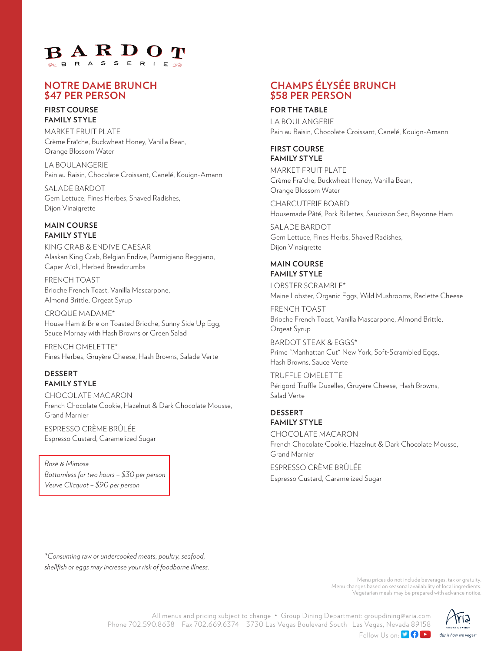

## **NOTRE DAME BRUNCH \$47 PER PERSON**

#### **FIRST COURSE FAMILY STYLE**

MARKET FRUIT PLATE Crème Fraîche, Buckwheat Honey, Vanilla Bean, Orange Blossom Water

LA BOULANGERIE Pain au Raisin, Chocolate Croissant, Canelé, Kouign-Amann

SALADE BARDOT Gem Lettuce, Fines Herbes, Shaved Radishes, Dijon Vinaigrette

#### **MAIN COURSE FAMILY STYLE**

KING CRAB & ENDIVE CAESAR Alaskan King Crab, Belgian Endive, Parmigiano Reggiano, Caper Aïoli, Herbed Breadcrumbs

FRENCH TOAST Brioche French Toast, Vanilla Mascarpone, Almond Brittle, Orgeat Syrup

CROQUE MADAME\* House Ham & Brie on Toasted Brioche, Sunny Side Up Egg, Sauce Mornay with Hash Browns or Green Salad

FRENCH OMELETTE\* Fines Herbes, Gruyère Cheese, Hash Browns, Salade Verte

## **DESSERT FAMILY STYLE**

CHOCOLATE MACARON French Chocolate Cookie, Hazelnut & Dark Chocolate Mousse, Grand Marnier

ESPRESSO CRÈME BRÛLÉE Espresso Custard, Caramelized Sugar

*Rosé & Mimosa Bottomless for two hours – \$30 per person Veuve Clicquot – \$90 per person*

# **CHAMPS ÉLYSÉE BRUNCH \$58 PER PERSON**

#### **FOR THE TABLE**

LA BOULANGERIE Pain au Raisin, Chocolate Croissant, Canelé, Kouign-Amann

#### **FIRST COURSE FAMILY STYLE**

MARKET FRUIT PLATE Crème Fraîche, Buckwheat Honey, Vanilla Bean, Orange Blossom Water

CHARCUTERIE BOARD Housemade Pâté, Pork Rillettes, Saucisson Sec, Bayonne Ham

SALADE BARDOT Gem Lettuce, Fines Herbs, Shaved Radishes, Dijon Vinaigrette

## **MAIN COURSE FAMILY STYLE**

LOBSTER SCRAMBLE\* Maine Lobster, Organic Eggs, Wild Mushrooms, Raclette Cheese

FRENCH TOAST Brioche French Toast, Vanilla Mascarpone, Almond Brittle, Orgeat Syrup

BARDOT STEAK & EGGS\* Prime "Manhattan Cut" New York, Soft-Scrambled Eggs, Hash Browns, Sauce Verte

TRUFFLE OMELETTE Périgord Truffle Duxelles, Gruyère Cheese, Hash Browns, Salad Verte

## **DESSERT FAMILY STYLE**

CHOCOLATE MACARON French Chocolate Cookie, Hazelnut & Dark Chocolate Mousse, Grand Marnier

ESPRESSO CRÈME BRÛLÉE Espresso Custard, Caramelized Sugar

*\*Consuming raw or undercooked meats, poultry, seafood, shellfish or eggs may increase your risk of foodborne illness.*

> Menu prices do not include beverages, tax or gratuity. Menu changes based on seasonal availability of local ingredients. Vegetarian meals may be prepared with advance notice.



All menus and pricing subject to change • Group Dining Department: groupdining@aria.com Phone 702.590.8638 Fax 702.669.6374 3730 Las Vegas Boulevard South Las Vegas, Nevada 89158 Follow Us on: **DOD**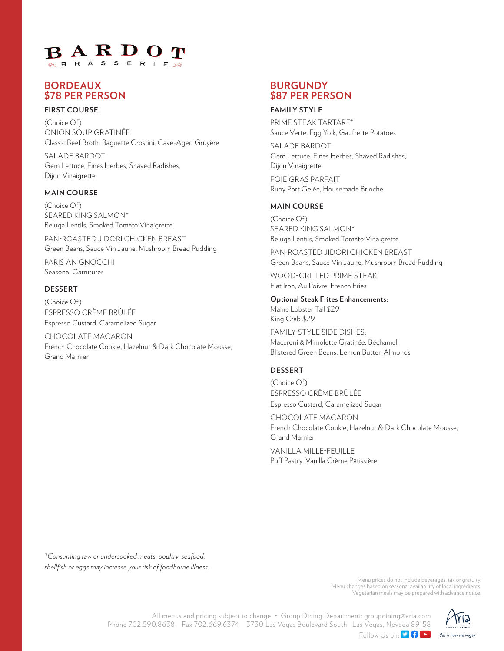# BARDO **S**

# **BORDEAUX \$78 PER PERSON**

## **FIRST COURSE**

(Choice Of) ONION SOUP GRATINÉE Classic Beef Broth, Baguette Crostini, Cave-Aged Gruyère

SALADE BARDOT Gem Lettuce, Fines Herbes, Shaved Radishes, Dijon Vinaigrette

#### **MAIN COURSE**

(Choice Of) SEARED KING SALMON\* Beluga Lentils, Smoked Tomato Vinaigrette

PAN-ROASTED JIDORI CHICKEN BREAST Green Beans, Sauce Vin Jaune, Mushroom Bread Pudding

PARISIAN GNOCCHI Seasonal Garnitures

#### **DESSERT**

(Choice Of) ESPRESSO CRÈME BRÛLÉE Espresso Custard, Caramelized Sugar

CHOCOLATE MACARON French Chocolate Cookie, Hazelnut & Dark Chocolate Mousse, Grand Marnier

## **BURGUNDY \$87 PER PERSON**

#### **FAMILY STYLE**

PRIME STEAK TARTARE\* Sauce Verte, Egg Yolk, Gaufrette Potatoes

SALADE BARDOT Gem Lettuce, Fines Herbes, Shaved Radishes, Dijon Vinaigrette

FOIE GRAS PARFAIT Ruby Port Gelée, Housemade Brioche

#### **MAIN COURSE**

(Choice Of) SEARED KING SALMON\* Beluga Lentils, Smoked Tomato Vinaigrette

PAN-ROASTED JIDORI CHICKEN BREAST Green Beans, Sauce Vin Jaune, Mushroom Bread Pudding

WOOD-GRILLED PRIME STEAK Flat Iron, Au Poivre, French Fries

**Optional Steak Frites Enhancements:** Maine Lobster Tail \$29 King Crab \$29

FAMILY-STYLE SIDE DISHES: Macaroni & Mimolette Gratinée, Béchamel Blistered Green Beans, Lemon Butter, Almonds

#### **DESSERT**

(Choice Of) ESPRESSO CRÈME BRÛLÉE Espresso Custard, Caramelized Sugar

CHOCOLATE MACARON French Chocolate Cookie, Hazelnut & Dark Chocolate Mousse, Grand Marnier

VANILLA MILLE-FEUILLE Puff Pastry, Vanilla Crème Pâtissière

*\*Consuming raw or undercooked meats, poultry, seafood, shellfish or eggs may increase your risk of foodborne illness.*

> Menu prices do not include beverages, tax or gratuity. Menu changes based on seasonal availability of local ingredients. Vegetarian meals may be prepared with advance notice.

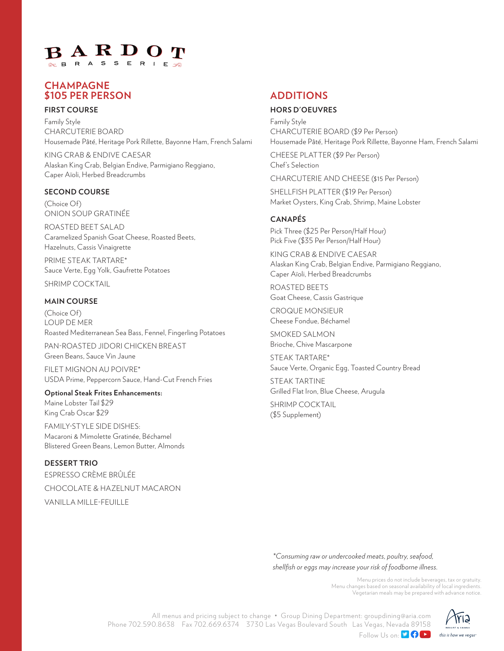# $B$  A R D O **S**

# **CHAMPAGNE \$105 PER PERSON**

#### **FIRST COURSE**

Family Style CHARCUTERIE BOARD Housemade Pâté, Heritage Pork Rillette, Bayonne Ham, French Salami

KING CRAB & ENDIVE CAESAR Alaskan King Crab, Belgian Endive, Parmigiano Reggiano, Caper Aïoli, Herbed Breadcrumbs

## **SECOND COURSE**

(Choice Of) ONION SOUP GRATINÉE

ROASTED BEET SALAD Caramelized Spanish Goat Cheese, Roasted Beets, Hazelnuts, Cassis Vinaigrette

PRIME STEAK TARTARE\* Sauce Verte, Egg Yolk, Gaufrette Potatoes

SHRIMP COCKTAIL

#### **MAIN COURSE**

(Choice Of) LOUP DE MER Roasted Mediterranean Sea Bass, Fennel, Fingerling Potatoes

PAN-ROASTED JIDORI CHICKEN BREAST Green Beans, Sauce Vin Jaune

FILET MIGNON AU POIVRE\* USDA Prime, Peppercorn Sauce, Hand-Cut French Fries

**Optional Steak Frites Enhancements:** Maine Lobster Tail \$29 King Crab Oscar \$29

FAMILY-STYLE SIDE DISHES: Macaroni & Mimolette Gratinée, Béchamel Blistered Green Beans, Lemon Butter, Almonds

**DESSERT TRIO** ESPRESSO CRÈME BRÛLÉE CHOCOLATE & HAZELNUT MACARON VANILLA MILLE-FEUILLE

# **ADDITIONS**

#### **HORS D'OEUVRES**

Family Style CHARCUTERIE BOARD (\$9 Per Person) Housemade Pâté, Heritage Pork Rillette, Bayonne Ham, French Salami

CHEESE PLATTER (\$9 Per Person) Chef's Selection

CHARCUTERIE AND CHEESE (\$15 Per Person)

SHELLFISH PLATTER (\$19 Per Person) Market Oysters, King Crab, Shrimp, Maine Lobster

#### **CANAPÉS**

Pick Three (\$25 Per Person/Half Hour) Pick Five (\$35 Per Person/Half Hour)

KING CRAB & ENDIVE CAESAR Alaskan King Crab, Belgian Endive, Parmigiano Reggiano, Caper Aïoli, Herbed Breadcrumbs

ROASTED BEETS Goat Cheese, Cassis Gastrique

CROQUE MONSIEUR Cheese Fondue, Béchamel

SMOKED SALMON Brioche, Chive Mascarpone

STEAK TARTARE\* Sauce Verte, Organic Egg, Toasted Country Bread

STEAK TARTINE Grilled Flat Iron, Blue Cheese, Arugula

SHRIMP COCKTAIL (\$5 Supplement)

*\*Consuming raw or undercooked meats, poultry, seafood, shellfish or eggs may increase your risk of foodborne illness.*

> Menu prices do not include beverages, tax or gratuity. Menu changes based on seasonal availability of local ingredients. Vegetarian meals may be prepared with advance notice.



All menus and pricing subject to change • Group Dining Department: groupdining@aria.com Phone 702.590.8638 Fax 702.669.6374 3730 Las Vegas Boulevard South Las Vegas, Nevada 89158 Follow Us on: **DOD**